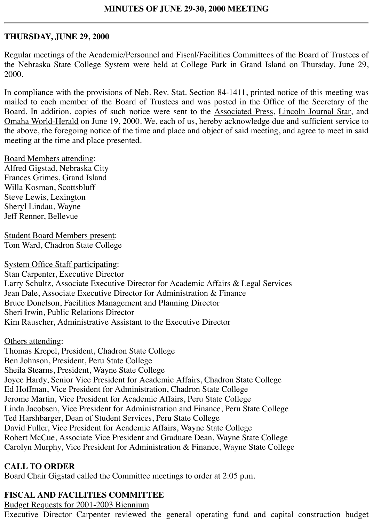#### **THURSDAY, JUNE 29, 2000**

Regular meetings of the Academic/Personnel and Fiscal/Facilities Committees of the Board of Trustees of the Nebraska State College System were held at College Park in Grand Island on Thursday, June 29, 2000.

In compliance with the provisions of Neb. Rev. Stat. Section 84-1411, printed notice of this meeting was mailed to each member of the Board of Trustees and was posted in the Office of the Secretary of the Board. In addition, copies of such notice were sent to the Associated Press, Lincoln Journal Star, and Omaha World-Herald on June 19, 2000. We, each of us, hereby acknowledge due and sufficient service to the above, the foregoing notice of the time and place and object of said meeting, and agree to meet in said meeting at the time and place presented.

Board Members attending: Alfred Gigstad, Nebraska City Frances Grimes, Grand Island Willa Kosman, Scottsbluff Steve Lewis, Lexington Sheryl Lindau, Wayne Jeff Renner, Bellevue

Student Board Members present: Tom Ward, Chadron State College

System Office Staff participating: Stan Carpenter, Executive Director Larry Schultz, Associate Executive Director for Academic Affairs & Legal Services Jean Dale, Associate Executive Director for Administration & Finance Bruce Donelson, Facilities Management and Planning Director Sheri Irwin, Public Relations Director Kim Rauscher, Administrative Assistant to the Executive Director

Others attending: Thomas Krepel, President, Chadron State College Ben Johnson, President, Peru State College Sheila Stearns, President, Wayne State College Joyce Hardy, Senior Vice President for Academic Affairs, Chadron State College Ed Hoffman, Vice President for Administration, Chadron State College Jerome Martin, Vice President for Academic Affairs, Peru State College Linda Jacobsen, Vice President for Administration and Finance, Peru State College Ted Harshbarger, Dean of Student Services, Peru State College David Fuller, Vice President for Academic Affairs, Wayne State College Robert McCue, Associate Vice President and Graduate Dean, Wayne State College Carolyn Murphy, Vice President for Administration & Finance, Wayne State College

#### **CALL TO ORDER**

Board Chair Gigstad called the Committee meetings to order at 2:05 p.m.

#### **FISCAL AND FACILITIES COMMITTEE**

Budget Requests for 2001-2003 Biennium

Executive Director Carpenter reviewed the general operating fund and capital construction budget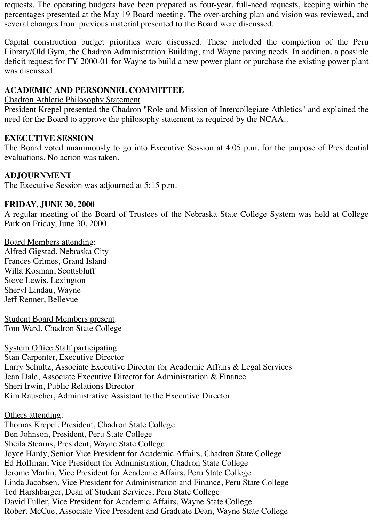requests. The operating budgets have been prepared as four-year, full-need requests, keeping within the percentages presented at the May 19 Board meeting. The over-arching plan and vision was reviewed, and several changes from previous material presented to the Board were discussed.

Capital construction budget priorities were discussed. These included the completion of the Peru Library/Old Gym, the Chadron Administration Building, and Wayne paving needs. In addition, a possible deficit request for FY 2000-01 for Wayne to build a new power plant or purchase the existing power plant was discussed.

# **ACADEMIC AND PERSONNEL COMMITTEE**

Chadron Athletic Philosophy Statement

President Krepel presented the Chadron "Role and Mission of Intercollegiate Athletics" and explained the need for the Board to approve the philosophy statement as required by the NCAA..

### **EXECUTIVE SESSION**

The Board voted unanimously to go into Executive Session at 4:05 p.m. for the purpose of Presidential evaluations. No action was taken.

#### **ADJOURNMENT**

The Executive Session was adjourned at 5:15 p.m.

### **FRIDAY, JUNE 30, 2000**

A regular meeting of the Board of Trustees of the Nebraska State College System was held at College Park on Friday, June 30, 2000.

Board Members attending: Alfred Gigstad, Nebraska City Frances Grimes, Grand Island Willa Kosman, Scottsbluff Steve Lewis, Lexington Sheryl Lindau, Wayne Jeff Renner, Bellevue

Student Board Members present: Tom Ward, Chadron State College

System Office Staff participating: Stan Carpenter, Executive Director Larry Schultz, Associate Executive Director for Academic Affairs & Legal Services Jean Dale, Associate Executive Director for Administration & Finance Sheri Irwin, Public Relations Director Kim Rauscher, Administrative Assistant to the Executive Director

#### Others attending:

Thomas Krepel, President, Chadron State College Ben Johnson, President, Peru State College Sheila Stearns, President, Wayne State College Joyce Hardy, Senior Vice President for Academic Affairs, Chadron State College Ed Hoffman, Vice President for Administration, Chadron State College Jerome Martin, Vice President for Academic Affairs, Peru State College Linda Jacobsen, Vice President for Administration and Finance, Peru State College Ted Harshbarger, Dean of Student Services, Peru State College David Fuller, Vice President for Academic Affairs, Wayne State College Robert McCue, Associate Vice President and Graduate Dean, Wayne State College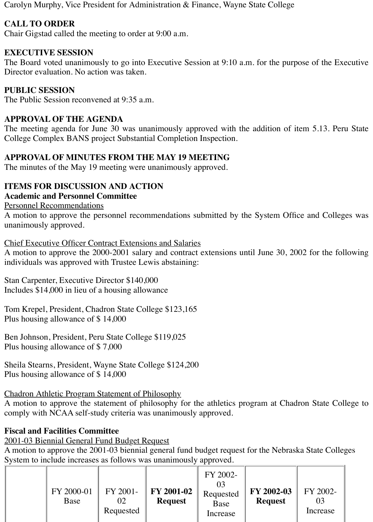Carolyn Murphy, Vice President for Administration & Finance, Wayne State College

# **CALL TO ORDER**

Chair Gigstad called the meeting to order at 9:00 a.m.

# **EXECUTIVE SESSION**

The Board voted unanimously to go into Executive Session at 9:10 a.m. for the purpose of the Executive Director evaluation. No action was taken.

# **PUBLIC SESSION**

The Public Session reconvened at 9:35 a.m.

## **APPROVAL OF THE AGENDA**

The meeting agenda for June 30 was unanimously approved with the addition of item 5.13. Peru State College Complex BANS project Substantial Completion Inspection.

# **APPROVAL OF MINUTES FROM THE MAY 19 MEETING**

The minutes of the May 19 meeting were unanimously approved.

# **ITEMS FOR DISCUSSION AND ACTION**

### **Academic and Personnel Committee**

#### Personnel Recommendations

A motion to approve the personnel recommendations submitted by the System Office and Colleges was unanimously approved.

Chief Executive Officer Contract Extensions and Salaries

A motion to approve the 2000-2001 salary and contract extensions until June 30, 2002 for the following individuals was approved with Trustee Lewis abstaining:

Stan Carpenter, Executive Director \$140,000 Includes \$14,000 in lieu of a housing allowance

Tom Krepel, President, Chadron State College \$123,165 Plus housing allowance of \$ 14,000

Ben Johnson, President, Peru State College \$119,025 Plus housing allowance of \$ 7,000

Sheila Stearns, President, Wayne State College \$124,200 Plus housing allowance of \$ 14,000

# Chadron Athletic Program Statement of Philosophy

A motion to approve the statement of philosophy for the athletics program at Chadron State College to comply with NCAA self-study criteria was unanimously approved.

# **Fiscal and Facilities Committee**

2001-03 Biennial General Fund Budget Request

A motion to approve the 2001-03 biennial general fund budget request for the Nebraska State Colleges System to include increases as follows was unanimously approved.

|  | FY 2000-01<br>Base | FY 2001-<br>02<br>Requested | FY 2001-02<br><b>Request</b> | FY 2002-<br>Requested<br>Base<br>Increase | FY 2002-03<br><b>Request</b> | FY 2002-<br>03<br>Increase |
|--|--------------------|-----------------------------|------------------------------|-------------------------------------------|------------------------------|----------------------------|
|--|--------------------|-----------------------------|------------------------------|-------------------------------------------|------------------------------|----------------------------|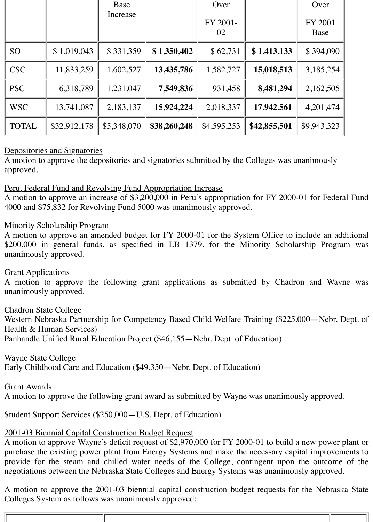|              |              | Base        |              | Over           |              | Over            |
|--------------|--------------|-------------|--------------|----------------|--------------|-----------------|
|              |              | Increase    |              | FY 2001-<br>02 |              | FY 2001<br>Base |
| <b>SO</b>    | \$1,019,043  | \$331,359   | \$1,350,402  | \$62,731       | \$1,413,133  | \$394,090       |
| <b>CSC</b>   | 11,833,259   | 1,602,527   | 13,435,786   | 1,582,727      | 15,018,513   | 3,185,254       |
| <b>PSC</b>   | 6,318,789    | 1,231,047   | 7,549,836    | 931,458        | 8,481,294    | 2,162,505       |
| <b>WSC</b>   | 13,741,087   | 2,183,137   | 15,924,224   | 2,018,337      | 17,942,561   | 4,201,474       |
| <b>TOTAL</b> | \$32,912,178 | \$5,348,070 | \$38,260,248 | \$4,595,253    | \$42,855,501 | \$9,943,323     |

# Depositories and Signatories

A motion to approve the depositories and signatories submitted by the Colleges was unanimously approved.

### Peru, Federal Fund and Revolving Fund Appropriation Increase

A motion to approve an increase of \$3,200,000 in Peru's appropriation for FY 2000-01 for Federal Fund 4000 and \$75,832 for Revolving Fund 5000 was unanimously approved.

### Minority Scholarship Program

A motion to approve an amended budget for FY 2000-01 for the System Office to include an additional \$200,000 in general funds, as specified in LB 1379, for the Minority Scholarship Program was unanimously approved.

### Grant Applications

A motion to approve the following grant applications as submitted by Chadron and Wayne was unanimously approved.

### Chadron State College

Western Nebraska Partnership for Competency Based Child Welfare Training (\$225,000—Nebr. Dept. of Health & Human Services)

Panhandle Unified Rural Education Project (\$46,155—Nebr. Dept. of Education)

### Wayne State College

Early Childhood Care and Education (\$49,350—Nebr. Dept. of Education)

### Grant Awards

A motion to approve the following grant award as submitted by Wayne was unanimously approved.

Student Support Services (\$250,000—U.S. Dept. of Education)

### 2001-03 Biennial Capital Construction Budget Request

A motion to approve Wayne's deficit request of \$2,970,000 for FY 2000-01 to build a new power plant or purchase the existing power plant from Energy Systems and make the necessary capital improvements to provide for the steam and chilled water needs of the College, contingent upon the outcome of the negotiations between the Nebraska State Colleges and Energy Systems was unanimously approved.

A motion to approve the 2001-03 biennial capital construction budget requests for the Nebraska State Colleges System as follows was unanimously approved: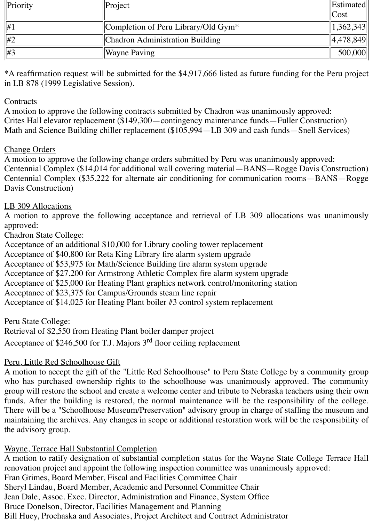| Priority        | $\text{Project}$                       | Estimated |
|-----------------|----------------------------------------|-----------|
|                 |                                        | Cost      |
| $ #_1$          | Completion of Peru Library/Old Gym $*$ | 1,362,343 |
| $\parallel \#2$ | Chadron Administration Building        | 4,478,849 |
| #3              | <b>Wayne Paving</b>                    | 500,000   |

\*A reaffirmation request will be submitted for the \$4,917,666 listed as future funding for the Peru project in LB 878 (1999 Legislative Session).

## **Contracts**

A motion to approve the following contracts submitted by Chadron was unanimously approved: Crites Hall elevator replacement (\$149,300—contingency maintenance funds—Fuller Construction) Math and Science Building chiller replacement (\$105,994—LB 309 and cash funds—Snell Services)

### Change Orders

A motion to approve the following change orders submitted by Peru was unanimously approved: Centennial Complex (\$14,014 for additional wall covering material—BANS—Rogge Davis Construction) Centennial Complex (\$35,222 for alternate air conditioning for communication rooms—BANS—Rogge Davis Construction)

# LB 309 Allocations

A motion to approve the following acceptance and retrieval of LB 309 allocations was unanimously approved:

# Chadron State College:

Acceptance of an additional \$10,000 for Library cooling tower replacement Acceptance of \$40,800 for Reta King Library fire alarm system upgrade Acceptance of \$53,975 for Math/Science Building fire alarm system upgrade Acceptance of \$27,200 for Armstrong Athletic Complex fire alarm system upgrade Acceptance of \$25,000 for Heating Plant graphics network control/monitoring station Acceptance of \$23,375 for Campus/Grounds steam line repair Acceptance of \$14,025 for Heating Plant boiler #3 control system replacement

Peru State College:

Retrieval of \$2,550 from Heating Plant boiler damper project Acceptance of \$246,500 for T.J. Majors 3rd floor ceiling replacement

# Peru, Little Red Schoolhouse Gift

A motion to accept the gift of the "Little Red Schoolhouse" to Peru State College by a community group who has purchased ownership rights to the schoolhouse was unanimously approved. The community group will restore the school and create a welcome center and tribute to Nebraska teachers using their own funds. After the building is restored, the normal maintenance will be the responsibility of the college. There will be a "Schoolhouse Museum/Preservation" advisory group in charge of staffing the museum and maintaining the archives. Any changes in scope or additional restoration work will be the responsibility of the advisory group.

# Wayne, Terrace Hall Substantial Completion

A motion to ratify designation of substantial completion status for the Wayne State College Terrace Hall renovation project and appoint the following inspection committee was unanimously approved: Fran Grimes, Board Member, Fiscal and Facilities Committee Chair Sheryl Lindau, Board Member, Academic and Personnel Committee Chair Jean Dale, Assoc. Exec. Director, Administration and Finance, System Office Bruce Donelson, Director, Facilities Management and Planning Bill Huey, Prochaska and Associates, Project Architect and Contract Administrator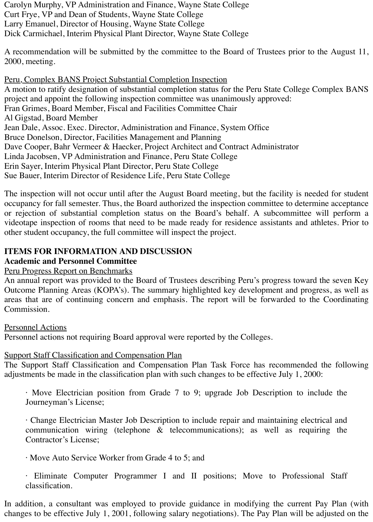Carolyn Murphy, VP Administration and Finance, Wayne State College Curt Frye, VP and Dean of Students, Wayne State College Larry Emanuel, Director of Housing, Wayne State College Dick Carmichael, Interim Physical Plant Director, Wayne State College

A recommendation will be submitted by the committee to the Board of Trustees prior to the August 11, 2000, meeting.

Peru, Complex BANS Project Substantial Completion Inspection A motion to ratify designation of substantial completion status for the Peru State College Complex BANS project and appoint the following inspection committee was unanimously approved: Fran Grimes, Board Member, Fiscal and Facilities Committee Chair Al Gigstad, Board Member Jean Dale, Assoc. Exec. Director, Administration and Finance, System Office Bruce Donelson, Director, Facilities Management and Planning Dave Cooper, Bahr Vermeer & Haecker, Project Architect and Contract Administrator Linda Jacobsen, VP Administration and Finance, Peru State College Erin Sayer, Interim Physical Plant Director, Peru State College Sue Bauer, Interim Director of Residence Life, Peru State College

The inspection will not occur until after the August Board meeting, but the facility is needed for student occupancy for fall semester. Thus, the Board authorized the inspection committee to determine acceptance or rejection of substantial completion status on the Board's behalf. A subcommittee will perform a videotape inspection of rooms that need to be made ready for residence assistants and athletes. Prior to other student occupancy, the full committee will inspect the project.

# **ITEMS FOR INFORMATION AND DISCUSSION**

# **Academic and Personnel Committee**

### Peru Progress Report on Benchmarks

An annual report was provided to the Board of Trustees describing Peru's progress toward the seven Key Outcome Planning Areas (KOPA's). The summary highlighted key development and progress, as well as areas that are of continuing concern and emphasis. The report will be forwarded to the Coordinating Commission.

### Personnel Actions

Personnel actions not requiring Board approval were reported by the Colleges.

# **Support Staff Classification and Compensation Plan**

The Support Staff Classification and Compensation Plan Task Force has recommended the following adjustments be made in the classification plan with such changes to be effective July 1, 2000:

· Move Electrician position from Grade 7 to 9; upgrade Job Description to include the Journeyman's License;

· Change Electrician Master Job Description to include repair and maintaining electrical and communication wiring (telephone & telecommunications); as well as requiring the Contractor's License;

· Move Auto Service Worker from Grade 4 to 5; and

· Eliminate Computer Programmer I and II positions; Move to Professional Staff classification.

In addition, a consultant was employed to provide guidance in modifying the current Pay Plan (with changes to be effective July 1, 2001, following salary negotiations). The Pay Plan will be adjusted on the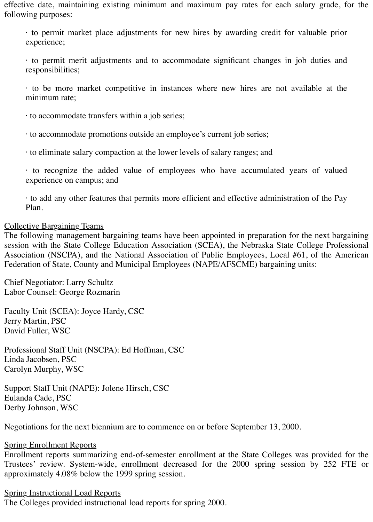effective date, maintaining existing minimum and maximum pay rates for each salary grade, for the following purposes:

· to permit market place adjustments for new hires by awarding credit for valuable prior experience;

· to permit merit adjustments and to accommodate significant changes in job duties and responsibilities;

· to be more market competitive in instances where new hires are not available at the minimum rate;

· to accommodate transfers within a job series;

· to accommodate promotions outside an employee's current job series;

· to eliminate salary compaction at the lower levels of salary ranges; and

· to recognize the added value of employees who have accumulated years of valued experience on campus; and

· to add any other features that permits more efficient and effective administration of the Pay Plan.

#### Collective Bargaining Teams

The following management bargaining teams have been appointed in preparation for the next bargaining session with the State College Education Association (SCEA), the Nebraska State College Professional Association (NSCPA), and the National Association of Public Employees, Local #61, of the American Federation of State, County and Municipal Employees (NAPE/AFSCME) bargaining units:

Chief Negotiator: Larry Schultz Labor Counsel: George Rozmarin

Faculty Unit (SCEA): Joyce Hardy, CSC Jerry Martin, PSC David Fuller, WSC

Professional Staff Unit (NSCPA): Ed Hoffman, CSC Linda Jacobsen, PSC Carolyn Murphy, WSC

Support Staff Unit (NAPE): Jolene Hirsch, CSC Eulanda Cade, PSC Derby Johnson, WSC

Negotiations for the next biennium are to commence on or before September 13, 2000.

#### **Spring Enrollment Reports**

Enrollment reports summarizing end-of-semester enrollment at the State Colleges was provided for the Trustees' review. System-wide, enrollment decreased for the 2000 spring session by 252 FTE or approximately 4.08% below the 1999 spring session.

### Spring Instructional Load Reports

The Colleges provided instructional load reports for spring 2000.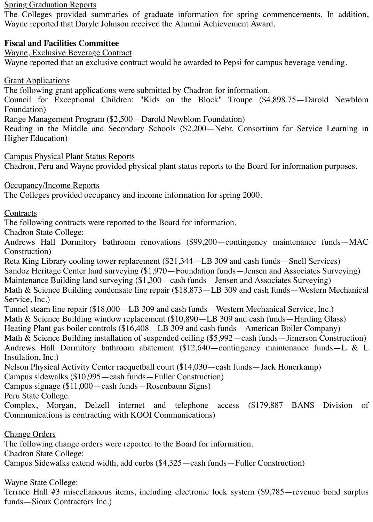#### **Spring Graduation Reports**

The Colleges provided summaries of graduate information for spring commencements. In addition, Wayne reported that Daryle Johnson received the Alumni Achievement Award.

# **Fiscal and Facilities Committee**

Wayne, Exclusive Beverage Contract

Wayne reported that an exclusive contract would be awarded to Pepsi for campus beverage vending.

Grant Applications

The following grant applications were submitted by Chadron for information.

Council for Exceptional Children: "Kids on the Block" Troupe (\$4,898.75—Darold Newblom Foundation)

Range Management Program (\$2,500—Darold Newblom Foundation)

Reading in the Middle and Secondary Schools (\$2,200—Nebr. Consortium for Service Learning in Higher Education)

Campus Physical Plant Status Reports

Chadron, Peru and Wayne provided physical plant status reports to the Board for information purposes.

Occupancy/Income Reports

The Colleges provided occupancy and income information for spring 2000.

#### **Contracts**

The following contracts were reported to the Board for information.

Chadron State College:

Andrews Hall Dormitory bathroom renovations (\$99,200—contingency maintenance funds—MAC Construction)

Reta King Library cooling tower replacement (\$21,344—LB 309 and cash funds—Snell Services) Sandoz Heritage Center land surveying (\$1,970—Foundation funds—Jensen and Associates Surveying) Maintenance Building land surveying (\$1,300—cash funds—Jensen and Associates Surveying) Math & Science Building condensate line repair (\$18,873—LB 309 and cash funds—Western Mechanical Service, Inc.)

Tunnel steam line repair (\$18,000—LB 309 and cash funds—Western Mechanical Service, Inc.)

Math & Science Building window replacement (\$10,890—LB 309 and cash funds—Harding Glass)

Heating Plant gas boiler controls (\$16,408—LB 309 and cash funds—American Boiler Company)

Math & Science Building installation of suspended ceiling (\$5,992—cash funds—Jimerson Construction) Andrews Hall Dormitory bathroom abatement (\$12,640—contingency maintenance funds—L & L Insulation, Inc.)

Nelson Physical Activity Center racquetball court (\$14,030—cash funds—Jack Honerkamp)

Campus sidewalks (\$10,995—cash funds—Fuller Construction)

Campus signage (\$11,000—cash funds—Rosenbaum Signs)

Peru State College:

Complex, Morgan, Delzell internet and telephone access (\$179,887—BANS—Division of Communications is contracting with KOOI Communications)

Change Orders

The following change orders were reported to the Board for information.

Chadron State College:

Campus Sidewalks extend width, add curbs (\$4,325—cash funds—Fuller Construction)

Wayne State College:

Terrace Hall #3 miscellaneous items, including electronic lock system (\$9,785—revenue bond surplus funds—Sioux Contractors Inc.)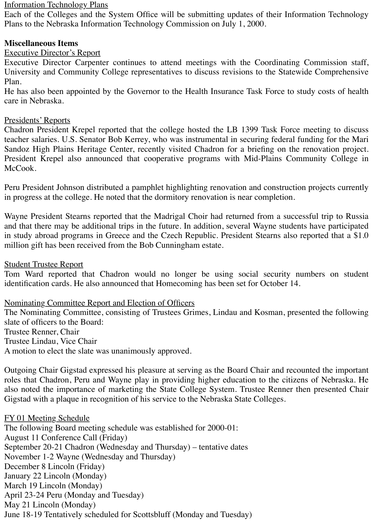# Information Technology Plans

Each of the Colleges and the System Office will be submitting updates of their Information Technology Plans to the Nebraska Information Technology Commission on July 1, 2000.

# **Miscellaneous Items**

### Executive Director's Report

Executive Director Carpenter continues to attend meetings with the Coordinating Commission staff, University and Community College representatives to discuss revisions to the Statewide Comprehensive Plan.

He has also been appointed by the Governor to the Health Insurance Task Force to study costs of health care in Nebraska.

#### Presidents' Reports

Chadron President Krepel reported that the college hosted the LB 1399 Task Force meeting to discuss teacher salaries. U.S. Senator Bob Kerrey, who was instrumental in securing federal funding for the Mari Sandoz High Plains Heritage Center, recently visited Chadron for a briefing on the renovation project. President Krepel also announced that cooperative programs with Mid-Plains Community College in McCook.

Peru President Johnson distributed a pamphlet highlighting renovation and construction projects currently in progress at the college. He noted that the dormitory renovation is near completion.

Wayne President Stearns reported that the Madrigal Choir had returned from a successful trip to Russia and that there may be additional trips in the future. In addition, several Wayne students have participated in study abroad programs in Greece and the Czech Republic. President Stearns also reported that a \$1.0 million gift has been received from the Bob Cunningham estate.

#### Student Trustee Report

Tom Ward reported that Chadron would no longer be using social security numbers on student identification cards. He also announced that Homecoming has been set for October 14.

### Nominating Committee Report and Election of Officers

The Nominating Committee, consisting of Trustees Grimes, Lindau and Kosman, presented the following slate of officers to the Board: Trustee Renner, Chair Trustee Lindau, Vice Chair A motion to elect the slate was unanimously approved.

Outgoing Chair Gigstad expressed his pleasure at serving as the Board Chair and recounted the important roles that Chadron, Peru and Wayne play in providing higher education to the citizens of Nebraska. He also noted the importance of marketing the State College System. Trustee Renner then presented Chair Gigstad with a plaque in recognition of his service to the Nebraska State Colleges.

#### FY 01 Meeting Schedule

The following Board meeting schedule was established for 2000-01: August 11 Conference Call (Friday) September 20-21 Chadron (Wednesday and Thursday) – tentative dates November 1-2 Wayne (Wednesday and Thursday) December 8 Lincoln (Friday) January 22 Lincoln (Monday) March 19 Lincoln (Monday) April 23-24 Peru (Monday and Tuesday) May 21 Lincoln (Monday) June 18-19 Tentatively scheduled for Scottsbluff (Monday and Tuesday)